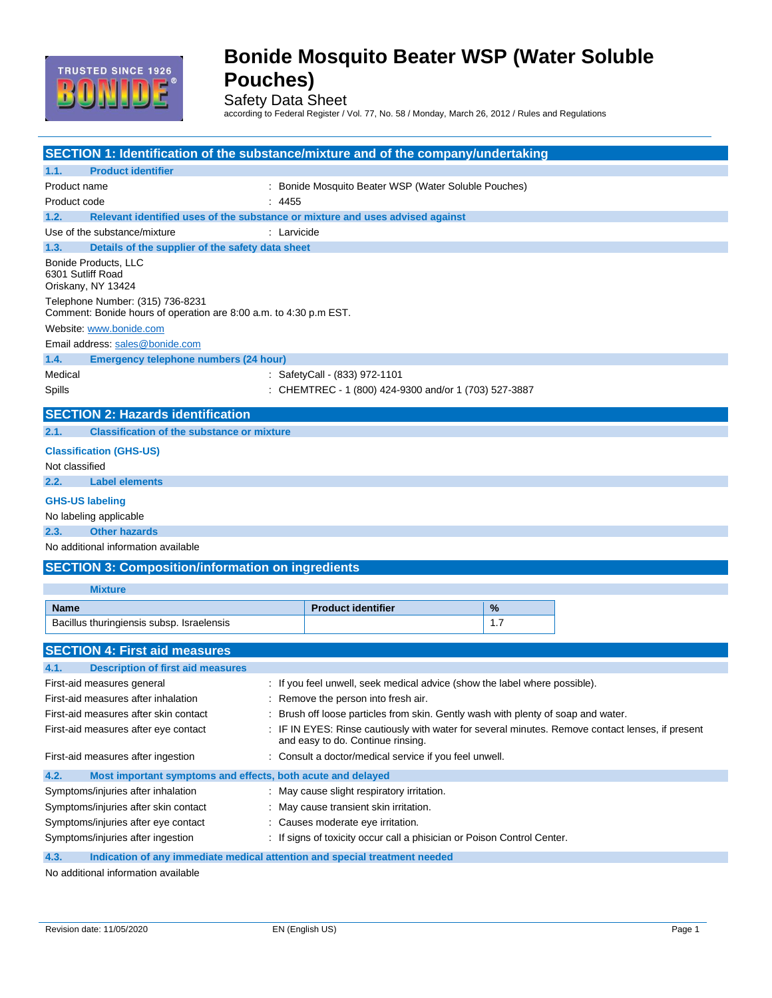

# **Bonide Mosquito Beater WSP (Water Soluble Pouches)**

Safety Data Sheet

according to Federal Register / Vol. 77, No. 58 / Monday, March 26, 2012 / Rules and Regulations

| SECTION 1: Identification of the substance/mixture and of the company/undertaking                     |                                                                                                                                     |     |  |
|-------------------------------------------------------------------------------------------------------|-------------------------------------------------------------------------------------------------------------------------------------|-----|--|
| <b>Product identifier</b><br>1.1.                                                                     |                                                                                                                                     |     |  |
| Product name                                                                                          | : Bonide Mosquito Beater WSP (Water Soluble Pouches)                                                                                |     |  |
| Product code                                                                                          | : 4455                                                                                                                              |     |  |
| 1.2.                                                                                                  | Relevant identified uses of the substance or mixture and uses advised against                                                       |     |  |
| Use of the substance/mixture                                                                          | : Larvicide                                                                                                                         |     |  |
| 1.3.<br>Details of the supplier of the safety data sheet                                              |                                                                                                                                     |     |  |
| Bonide Products, LLC<br>6301 Sutliff Road<br>Oriskany, NY 13424                                       |                                                                                                                                     |     |  |
| Telephone Number: (315) 736-8231<br>Comment: Bonide hours of operation are 8:00 a.m. to 4:30 p.m EST. |                                                                                                                                     |     |  |
| Website: www.bonide.com                                                                               |                                                                                                                                     |     |  |
| Email address: sales@bonide.com                                                                       |                                                                                                                                     |     |  |
| 1.4.<br>Emergency telephone numbers (24 hour)                                                         |                                                                                                                                     |     |  |
| Medical                                                                                               | : SafetyCall - (833) 972-1101                                                                                                       |     |  |
| Spills                                                                                                | : CHEMTREC - 1 (800) 424-9300 and/or 1 (703) 527-3887                                                                               |     |  |
| <b>SECTION 2: Hazards identification</b>                                                              |                                                                                                                                     |     |  |
| <b>Classification of the substance or mixture</b><br>2.1.                                             |                                                                                                                                     |     |  |
| <b>Classification (GHS-US)</b>                                                                        |                                                                                                                                     |     |  |
| Not classified                                                                                        |                                                                                                                                     |     |  |
| 2.2.<br><b>Label elements</b>                                                                         |                                                                                                                                     |     |  |
| <b>GHS-US labeling</b>                                                                                |                                                                                                                                     |     |  |
| No labeling applicable                                                                                |                                                                                                                                     |     |  |
| 2.3.<br><b>Other hazards</b>                                                                          |                                                                                                                                     |     |  |
| No additional information available                                                                   |                                                                                                                                     |     |  |
| <b>SECTION 3: Composition/information on ingredients</b>                                              |                                                                                                                                     |     |  |
| <b>Mixture</b>                                                                                        |                                                                                                                                     |     |  |
| <b>Name</b>                                                                                           | <b>Product identifier</b>                                                                                                           | %   |  |
| Bacillus thuringiensis subsp. Israelensis                                                             |                                                                                                                                     | 1.7 |  |
| <b>SECTION 4: First aid measures</b>                                                                  |                                                                                                                                     |     |  |
| 4.1.<br><b>Description of first aid measures</b>                                                      |                                                                                                                                     |     |  |
| First-aid measures general                                                                            | : If you feel unwell, seek medical advice (show the label where possible).                                                          |     |  |
| First-aid measures after inhalation                                                                   | : Remove the person into fresh air.                                                                                                 |     |  |
| First-aid measures after skin contact                                                                 | Brush off loose particles from skin. Gently wash with plenty of soap and water.                                                     |     |  |
| First-aid measures after eye contact                                                                  | IF IN EYES: Rinse cautiously with water for several minutes. Remove contact lenses, if present<br>and easy to do. Continue rinsing. |     |  |
| First-aid measures after ingestion                                                                    | : Consult a doctor/medical service if you feel unwell.                                                                              |     |  |
| 4.2.<br>Most important symptoms and effects, both acute and delayed                                   |                                                                                                                                     |     |  |
| Symptoms/injuries after inhalation                                                                    | : May cause slight respiratory irritation.                                                                                          |     |  |
| Symptoms/injuries after skin contact                                                                  | : May cause transient skin irritation.                                                                                              |     |  |
| Symptoms/injuries after eye contact                                                                   | : Causes moderate eye irritation.                                                                                                   |     |  |
| Symptoms/injuries after ingestion                                                                     | : If signs of toxicity occur call a phisician or Poison Control Center.                                                             |     |  |
| 4.3.<br>Indication of any immediate medical attention and special treatment needed                    |                                                                                                                                     |     |  |

No additional information available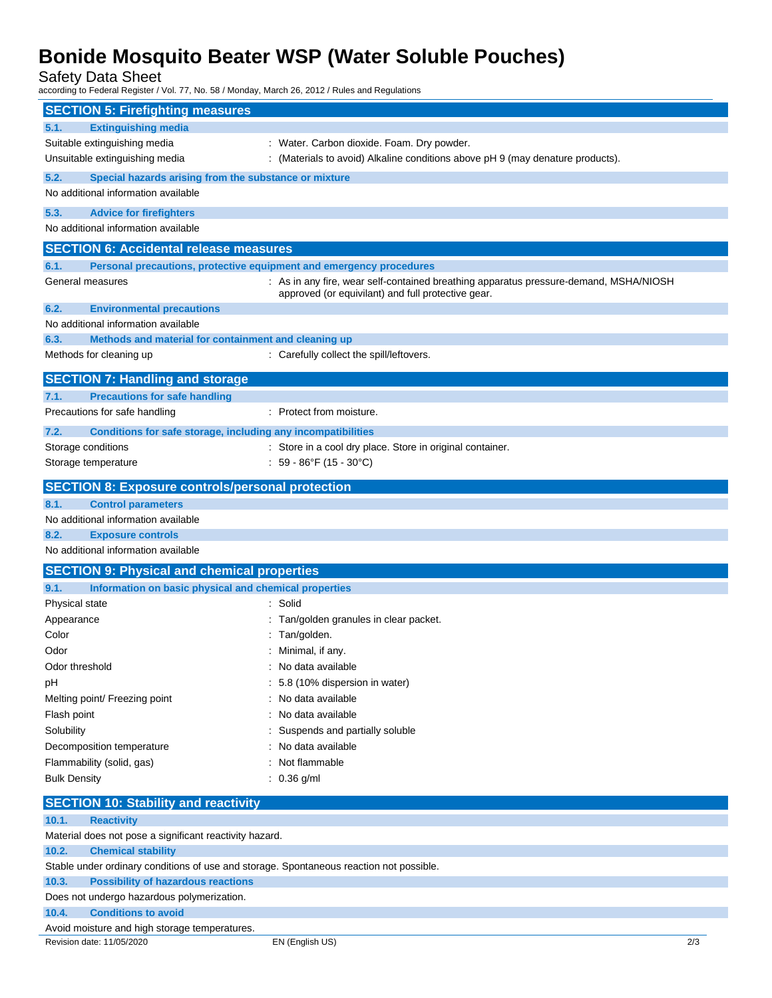# **Bonide Mosquito Beater WSP (Water Soluble Pouches)**

Safety Data Sheet

according to Federal Register / Vol. 77, No. 58 / Monday, March 26, 2012 / Rules and Regulations

| <b>SECTION 5: Firefighting measures</b>                                                 |                                                                                                                                             |     |  |
|-----------------------------------------------------------------------------------------|---------------------------------------------------------------------------------------------------------------------------------------------|-----|--|
| <b>Extinguishing media</b><br>5.1.                                                      |                                                                                                                                             |     |  |
| Suitable extinguishing media                                                            | : Water. Carbon dioxide. Foam. Dry powder.                                                                                                  |     |  |
| Unsuitable extinguishing media                                                          | : (Materials to avoid) Alkaline conditions above pH 9 (may denature products).                                                              |     |  |
| 5.2.<br>Special hazards arising from the substance or mixture                           |                                                                                                                                             |     |  |
| No additional information available                                                     |                                                                                                                                             |     |  |
| 5.3.<br><b>Advice for firefighters</b>                                                  |                                                                                                                                             |     |  |
| No additional information available                                                     |                                                                                                                                             |     |  |
|                                                                                         |                                                                                                                                             |     |  |
| <b>SECTION 6: Accidental release measures</b>                                           |                                                                                                                                             |     |  |
| 6.1.<br>Personal precautions, protective equipment and emergency procedures             |                                                                                                                                             |     |  |
| General measures                                                                        | : As in any fire, wear self-contained breathing apparatus pressure-demand, MSHA/NIOSH<br>approved (or equivilant) and full protective gear. |     |  |
| 6.2.<br><b>Environmental precautions</b>                                                |                                                                                                                                             |     |  |
| No additional information available                                                     |                                                                                                                                             |     |  |
| 6.3.<br>Methods and material for containment and cleaning up                            |                                                                                                                                             |     |  |
| Methods for cleaning up                                                                 | : Carefully collect the spill/leftovers.                                                                                                    |     |  |
|                                                                                         |                                                                                                                                             |     |  |
| <b>SECTION 7: Handling and storage</b>                                                  |                                                                                                                                             |     |  |
| 7.1.<br><b>Precautions for safe handling</b>                                            |                                                                                                                                             |     |  |
| Precautions for safe handling                                                           | : Protect from moisture.                                                                                                                    |     |  |
| 7.2.<br>Conditions for safe storage, including any incompatibilities                    |                                                                                                                                             |     |  |
| Storage conditions                                                                      | : Store in a cool dry place. Store in original container.                                                                                   |     |  |
| Storage temperature                                                                     | : $59 - 86^{\circ}F(15 - 30^{\circ}C)$                                                                                                      |     |  |
| <b>SECTION 8: Exposure controls/personal protection</b>                                 |                                                                                                                                             |     |  |
| 8.1.<br><b>Control parameters</b>                                                       |                                                                                                                                             |     |  |
| No additional information available                                                     |                                                                                                                                             |     |  |
| <b>Exposure controls</b><br>8.2.                                                        |                                                                                                                                             |     |  |
| No additional information available                                                     |                                                                                                                                             |     |  |
|                                                                                         |                                                                                                                                             |     |  |
| <b>SECTION 9: Physical and chemical properties</b>                                      |                                                                                                                                             |     |  |
| 9.1.<br>Information on basic physical and chemical properties                           |                                                                                                                                             |     |  |
| Physical state                                                                          | : Solid                                                                                                                                     |     |  |
| Appearance<br>Color                                                                     | Tan/golden granules in clear packet.                                                                                                        |     |  |
| Odor                                                                                    | Tan/golden.<br>Minimal, if any.                                                                                                             |     |  |
| Odor threshold                                                                          | No data available                                                                                                                           |     |  |
|                                                                                         | : 5.8 (10% dispersion in water)                                                                                                             |     |  |
| рH<br>Melting point/ Freezing point                                                     | : No data available                                                                                                                         |     |  |
| Flash point                                                                             | : No data available                                                                                                                         |     |  |
| Solubility                                                                              | : Suspends and partially soluble                                                                                                            |     |  |
| Decomposition temperature                                                               | : No data available                                                                                                                         |     |  |
| Flammability (solid, gas)                                                               | : Not flammable                                                                                                                             |     |  |
| <b>Bulk Density</b>                                                                     | $: 0.36$ g/ml                                                                                                                               |     |  |
|                                                                                         |                                                                                                                                             |     |  |
| <b>SECTION 10: Stability and reactivity</b>                                             |                                                                                                                                             |     |  |
| 10.1.<br><b>Reactivity</b>                                                              |                                                                                                                                             |     |  |
| Material does not pose a significant reactivity hazard.                                 |                                                                                                                                             |     |  |
| 10.2.<br><b>Chemical stability</b>                                                      |                                                                                                                                             |     |  |
| Stable under ordinary conditions of use and storage. Spontaneous reaction not possible. |                                                                                                                                             |     |  |
| 10.3.<br><b>Possibility of hazardous reactions</b>                                      |                                                                                                                                             |     |  |
| Does not undergo hazardous polymerization.                                              |                                                                                                                                             |     |  |
| <b>Conditions to avoid</b><br>10.4.                                                     |                                                                                                                                             |     |  |
| Avoid moisture and high storage temperatures.                                           |                                                                                                                                             |     |  |
| Revision date: 11/05/2020                                                               | EN (English US)                                                                                                                             | 2/3 |  |